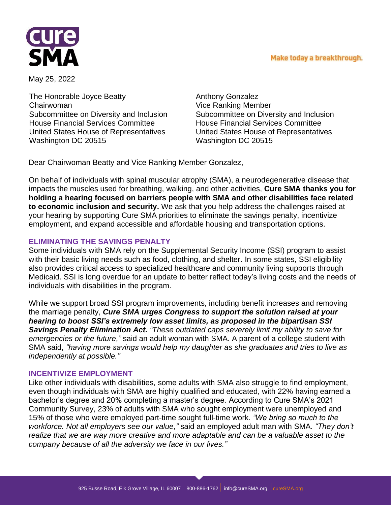## Make today a breakthrough.



May 25, 2022

The Honorable Joyce Beatty Chairwoman Subcommittee on Diversity and Inclusion House Financial Services Committee United States House of Representatives Washington DC 20515

Anthony Gonzalez Vice Ranking Member Subcommittee on Diversity and Inclusion House Financial Services Committee United States House of Representatives Washington DC 20515

Dear Chairwoman Beatty and Vice Ranking Member Gonzalez,

On behalf of individuals with spinal muscular atrophy (SMA), a neurodegenerative disease that impacts the muscles used for breathing, walking, and other activities, **Cure SMA thanks you for holding a hearing focused on barriers people with SMA and other disabilities face related to economic inclusion and security.** We ask that you help address the challenges raised at your hearing by supporting Cure SMA priorities to eliminate the savings penalty, incentivize employment, and expand accessible and affordable housing and transportation options.

## **ELIMINATING THE SAVINGS PENALTY**

Some individuals with SMA rely on the Supplemental Security Income (SSI) program to assist with their basic living needs such as food, clothing, and shelter. In some states, SSI eligibility also provides critical access to specialized healthcare and community living supports through Medicaid. SSI is long overdue for an update to better reflect today's living costs and the needs of individuals with disabilities in the program.

While we support broad SSI program improvements, including benefit increases and removing the marriage penalty, *Cure SMA urges Congress to support the solution raised at your hearing to boost SSI's extremely low asset limits, as proposed in the bipartisan SSI Savings Penalty Elimination Act. "These outdated caps severely limit my ability to save for emergencies or the future,"* said an adult woman with SMA. A parent of a college student with SMA said, *"having more savings would help my daughter as she graduates and tries to live as independently at possible."*

## **INCENTIVIZE EMPLOYMENT**

Like other individuals with disabilities, some adults with SMA also struggle to find employment, even though individuals with SMA are highly qualified and educated, with 22% having earned a bachelor's degree and 20% completing a master's degree. According to Cure SMA's 2021 Community Survey, 23% of adults with SMA who sought employment were unemployed and 15% of those who were employed part-time sought full-time work. *"We bring so much to the workforce. Not all employers see our value,"* said an employed adult man with SMA. *"They don't realize that we are way more creative and more adaptable and can be a valuable asset to the company because of all the adversity we face in our lives."*